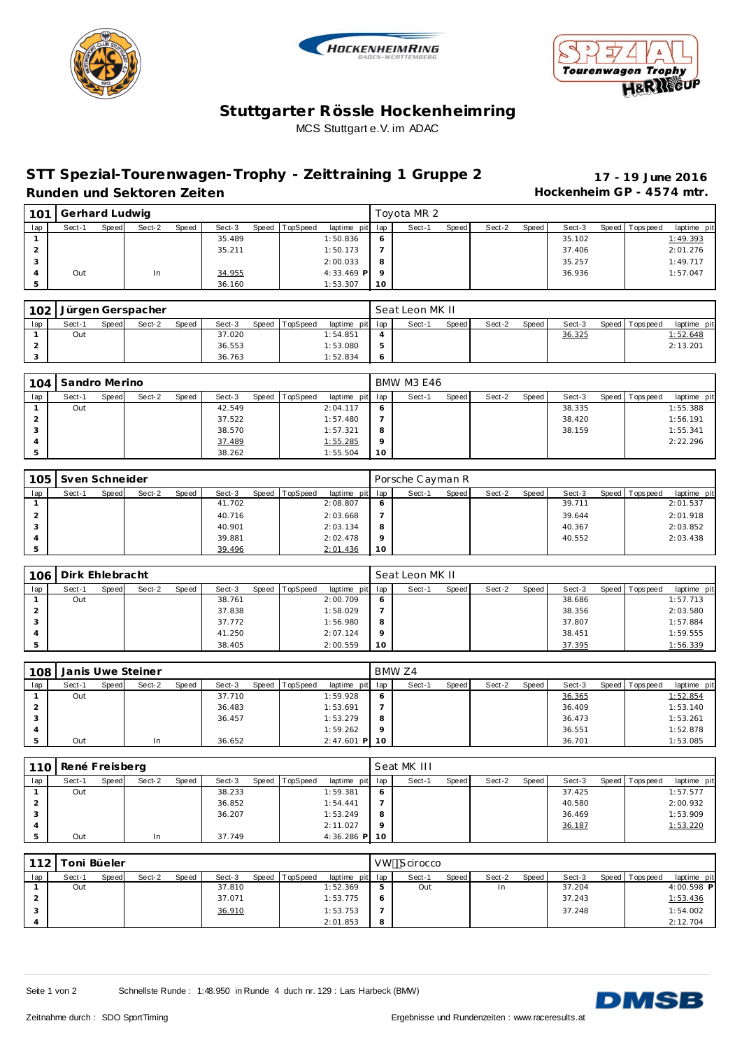





## **Stuttgarter Rössle Hockenheimring** MCS Stuttgart e.V. im ADAC

## **STT Spezial-Tourenwagen-Trophy - Zeittraining 1 Gruppe 2 17 - 19 June 2016** Runden und Sektoren Zeiten **Munden und Sektoren Zeiten Hockenheim GP** - 4574 mtr.

| 101 | Gerhard Ludwig |       |        |       |        |       |          |                 |         | Toyota MR 2 |       |        |       |        |                |             |
|-----|----------------|-------|--------|-------|--------|-------|----------|-----------------|---------|-------------|-------|--------|-------|--------|----------------|-------------|
| lap | Sect-1         | Speed | Sect-2 | Speed | Sect-3 | Speed | TopSpeed | laptime pit lap |         | Sect-1      | Speed | Sect-2 | Speed | Sect-3 | Speed Topspeed | laptime pit |
|     |                |       |        |       | 35.489 |       |          | 1:50.836        | 6       |             |       |        |       | 35.102 |                | 1:49.393    |
|     |                |       |        |       | 35.211 |       |          | 1:50.173        |         |             |       |        |       | 37.406 |                | 2:01.276    |
| - 0 |                |       |        |       |        |       |          | 2:00.033        | 8       |             |       |        |       | 35.257 |                | 1:49.717    |
|     | Out            |       | In     |       | 34.955 |       |          | $4:33.469$ P    | $\circ$ |             |       |        |       | 36.936 |                | 1:57.047    |
|     |                |       |        |       | 36.160 |       |          | 1:53.307        | 10      |             |       |        |       |        |                |             |

| 102 |        |       | Jürgen Gerspacher |       |        |       |          |                 |                | Seat Leon MK II |         |        |       |        |                 |             |
|-----|--------|-------|-------------------|-------|--------|-------|----------|-----------------|----------------|-----------------|---------|--------|-------|--------|-----------------|-------------|
| lap | Sect-1 | Speed | Sect-2            | Speed | Sect-3 | Speed | TopSpeed | laptime pit lap |                | Sect-1          | Speed i | Sect-2 | Speed | Sect-3 | Speed Tops peed | laptime pit |
|     | Out    |       |                   |       | 37.020 |       |          | 1:54.851        |                |                 |         |        |       | 36.325 |                 | 1:52.648    |
|     |        |       |                   |       | 36.553 |       |          | 1:53.080        | -5             |                 |         |        |       |        |                 | 2:13.201    |
|     |        |       |                   |       | 36.763 |       |          | 1:52.834        | $\ddot{\circ}$ |                 |         |        |       |        |                 |             |

| 104 | Sandro Merino |       |        |       |        |       |          |                 |           | BMW M3 E46 |       |        |       |        |                |             |
|-----|---------------|-------|--------|-------|--------|-------|----------|-----------------|-----------|------------|-------|--------|-------|--------|----------------|-------------|
| lap | Sect-1        | Speed | Sect-2 | Speed | Sect-3 | Speed | TopSpeed | laptime pit lap |           | Sect-1     | Speed | Sect-2 | Speed | Sect-3 | Speed Topspeed | laptime pit |
|     | Out           |       |        |       | 42.549 |       |          | 2:04.117        | $\circ$   |            |       |        |       | 38.335 |                | 1:55.388    |
| ∠   |               |       |        |       | 37.522 |       |          | 1:57.480        |           |            |       |        |       | 38.420 |                | 1:56.191    |
|     |               |       |        |       | 38.570 |       |          | 1:57.321        | 8         |            |       |        |       | 38.159 |                | 1:55.341    |
| 4   |               |       |        |       | 37.489 |       |          | 1:55.285        | $\circ$   |            |       |        |       |        |                | 2:22.296    |
| 5   |               |       |        |       | 38.262 |       |          | 1:55.504        | <b>10</b> |            |       |        |       |        |                |             |

| 105 | Sven Schneider |       |        |       |        |                |                 |         | Porsche Cayman R |       |        |       |        |       |                  |             |
|-----|----------------|-------|--------|-------|--------|----------------|-----------------|---------|------------------|-------|--------|-------|--------|-------|------------------|-------------|
| lap | Sect-1         | Speed | Sect-2 | Speed | Sect-3 | Speed TopSpeed | laptime pit lap |         | Sect-1           | Speed | Sect-2 | Speed | Sect-3 | Speed | <b>Tops peed</b> | laptime pit |
|     |                |       |        |       | 41.702 |                | 2:08.807        | $\circ$ |                  |       |        |       | 39.711 |       |                  | 2:01.537    |
|     |                |       |        |       | 40.716 |                | 2:03.668        |         |                  |       |        |       | 39.644 |       |                  | 2:01.918    |
|     |                |       |        |       | 40.901 |                | 2:03.134        | 8       |                  |       |        |       | 40.367 |       |                  | 2:03.852    |
|     |                |       |        |       | 39.881 |                | 2:02.478        | $\circ$ |                  |       |        |       | 40.552 |       |                  | 2:03.438    |
|     |                |       |        |       | 39.496 |                | 2:01.436        | 10      |                  |       |        |       |        |       |                  |             |

|     | 106 Dirk Ehlebracht |       |        |       |        |                |                 |         | Seat Leon MK II |       |        |       |        |                 |             |
|-----|---------------------|-------|--------|-------|--------|----------------|-----------------|---------|-----------------|-------|--------|-------|--------|-----------------|-------------|
| lap | Sect-1              | Speed | Sect-2 | Speed | Sect-3 | Speed TopSpeed | laptime pit lap |         | Sect-1          | Speed | Sect-2 | Speed | Sect-3 | Speed Tops peed | laptime pit |
|     | Out                 |       |        |       | 38.761 |                | 2:00.709        | 6       |                 |       |        |       | 38.686 |                 | 1:57.713    |
|     |                     |       |        |       | 37.838 |                | 1:58.029        |         |                 |       |        |       | 38.356 |                 | 2:03.580    |
|     |                     |       |        |       | 37.772 |                | 1:56.980        | 8       |                 |       |        |       | 37.807 |                 | 1:57.884    |
|     |                     |       |        |       | 41.250 |                | 2:07.124        | $\circ$ |                 |       |        |       | 38.451 |                 | 1:59.555    |
|     |                     |       |        |       | 38.405 |                | 2:00.559        | 10      |                 |       |        |       | 37.395 |                 | 1:56.339    |

| 108 |        |       | Janis Uwe Steiner |       |        |       |          |                 |         | BMW Z4 |       |        |       |        |                 |             |
|-----|--------|-------|-------------------|-------|--------|-------|----------|-----------------|---------|--------|-------|--------|-------|--------|-----------------|-------------|
| lap | Sect-1 | Speed | Sect-2            | Speed | Sect-3 | Speed | TopSpeed | laptime pit     | lap     | Sect-1 | Speed | Sect-2 | Speed | Sect-3 | Speed Tops peed | laptime pit |
|     | Out    |       |                   |       | 37.710 |       |          | 1:59.928        | O       |        |       |        |       | 36.365 |                 | 1:52.854    |
|     |        |       |                   |       | 36.483 |       |          | 1:53.691        |         |        |       |        |       | 36.409 |                 | 1:53.140    |
|     |        |       |                   |       | 36.457 |       |          | 1:53.279        | 8       |        |       |        |       | 36.473 |                 | 1:53.261    |
|     |        |       |                   |       |        |       |          | 1:59.262        | $\circ$ |        |       |        |       | 36.551 |                 | 1:52.878    |
|     | Out    |       | In                |       | 36.652 |       |          | $2:47.601$ P 10 |         |        |       |        |       | 36.701 |                 | 1:53.085    |

| 110            | René Freisberg |       |        |       |        |                |                 |         | Seat MK III |       |        |       |        |                 |             |
|----------------|----------------|-------|--------|-------|--------|----------------|-----------------|---------|-------------|-------|--------|-------|--------|-----------------|-------------|
| lap            | Sect-1         | Speed | Sect-2 | Speed | Sect-3 | Speed TopSpeed | laptime pit     | lap     | Sect-1      | Speed | Sect-2 | Speed | Sect-3 | Speed Tops peed | laptime pit |
|                | Out            |       |        |       | 38.233 |                | 1:59.381        | $\circ$ |             |       |        |       | 37.425 |                 | 1:57.577    |
| $\overline{2}$ |                |       |        |       | 36.852 |                | 1:54.441        |         |             |       |        |       | 40.580 |                 | 2:00.932    |
| 3              |                |       |        |       | 36.207 |                | 1:53.249        | 8       |             |       |        |       | 36.469 |                 | 1:53.909    |
| $\overline{A}$ |                |       |        |       |        |                | 2:11.027        | $\circ$ |             |       |        |       | 36.187 |                 | 1:53.220    |
|                | Out            |       | In     |       | 37.749 |                | $4:36.286$ P 10 |         |             |       |        |       |        |                 |             |

| 112             | Toni Büeler |       |        |       |        |       |          |                 | VW      | <b>Scirocco</b> |       |        |         |        |                 |             |
|-----------------|-------------|-------|--------|-------|--------|-------|----------|-----------------|---------|-----------------|-------|--------|---------|--------|-----------------|-------------|
| lap             | Sect-1      | Speed | Sect-2 | Speed | Sect-3 | Speed | TopSpeed | laptime pit lap |         | Sect-1          | Speed | Sect-2 | Speed I | Sect-3 | Speed Tops peed | laptime pit |
|                 | Out         |       |        |       | 37.810 |       |          | 1:52.369        |         | Out             |       | In     |         | 37.204 |                 | 4:00.598 P  |
|                 |             |       |        |       | 37.071 |       |          | 1:53.775        | $\circ$ |                 |       |        |         | 37.243 |                 | 1:53.436    |
| $\cdot$ $\cdot$ |             |       |        |       | 36.910 |       |          | 1:53.753        |         |                 |       |        |         | 37.248 |                 | 1:54.002    |
|                 |             |       |        |       |        |       |          | 2:01.853        | 8       |                 |       |        |         |        |                 | 2:12.704    |